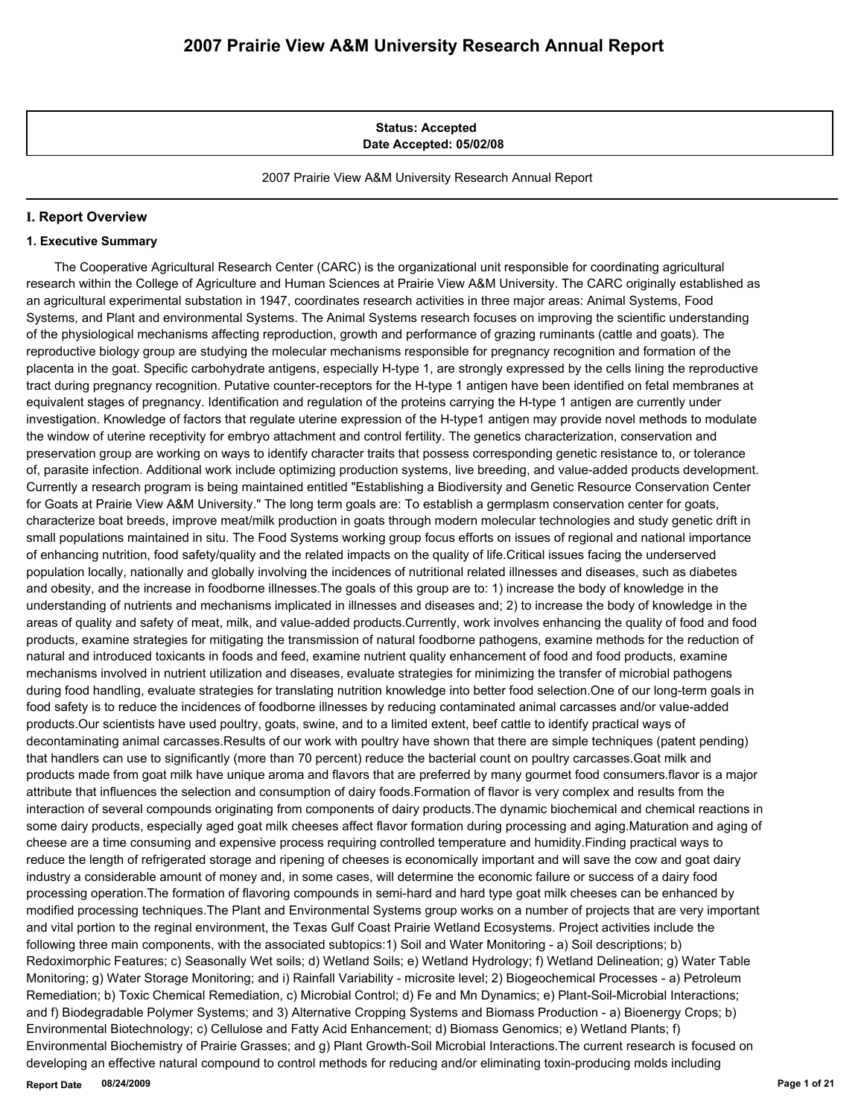**Status: Accepted Date Accepted: 05/02/08**

2007 Prairie View A&M University Research Annual Report

## **I. Report Overview**

### **1. Executive Summary**

 The Cooperative Agricultural Research Center (CARC) is the organizational unit responsible for coordinating agricultural research within the College of Agriculture and Human Sciences at Prairie View A&M University. The CARC originally established as an agricultural experimental substation in 1947, coordinates research activities in three major areas: Animal Systems, Food Systems, and Plant and environmental Systems. The Animal Systems research focuses on improving the scientific understanding of the physiological mechanisms affecting reproduction, growth and performance of grazing ruminants (cattle and goats). The reproductive biology group are studying the molecular mechanisms responsible for pregnancy recognition and formation of the placenta in the goat. Specific carbohydrate antigens, especially H-type 1, are strongly expressed by the cells lining the reproductive tract during pregnancy recognition. Putative counter-receptors for the H-type 1 antigen have been identified on fetal membranes at equivalent stages of pregnancy. Identification and regulation of the proteins carrying the H-type 1 antigen are currently under investigation. Knowledge of factors that regulate uterine expression of the H-type1 antigen may provide novel methods to modulate the window of uterine receptivity for embryo attachment and control fertility. The genetics characterization, conservation and preservation group are working on ways to identify character traits that possess corresponding genetic resistance to, or tolerance of, parasite infection. Additional work include optimizing production systems, live breeding, and value-added products development. Currently a research program is being maintained entitled "Establishing a Biodiversity and Genetic Resource Conservation Center for Goats at Prairie View A&M University." The long term goals are: To establish a germplasm conservation center for goats, characterize boat breeds, improve meat/milk production in goats through modern molecular technologies and study genetic drift in small populations maintained in situ. The Food Systems working group focus efforts on issues of regional and national importance of enhancing nutrition, food safety/quality and the related impacts on the quality of life.Critical issues facing the underserved population locally, nationally and globally involving the incidences of nutritional related illnesses and diseases, such as diabetes and obesity, and the increase in foodborne illnesses.The goals of this group are to: 1) increase the body of knowledge in the understanding of nutrients and mechanisms implicated in illnesses and diseases and; 2) to increase the body of knowledge in the areas of quality and safety of meat, milk, and value-added products.Currently, work involves enhancing the quality of food and food products, examine strategies for mitigating the transmission of natural foodborne pathogens, examine methods for the reduction of natural and introduced toxicants in foods and feed, examine nutrient quality enhancement of food and food products, examine mechanisms involved in nutrient utilization and diseases, evaluate strategies for minimizing the transfer of microbial pathogens during food handling, evaluate strategies for translating nutrition knowledge into better food selection.One of our long-term goals in food safety is to reduce the incidences of foodborne illnesses by reducing contaminated animal carcasses and/or value-added products.Our scientists have used poultry, goats, swine, and to a limited extent, beef cattle to identify practical ways of decontaminating animal carcasses.Results of our work with poultry have shown that there are simple techniques (patent pending) that handlers can use to significantly (more than 70 percent) reduce the bacterial count on poultry carcasses.Goat milk and products made from goat milk have unique aroma and flavors that are preferred by many gourmet food consumers.flavor is a major attribute that influences the selection and consumption of dairy foods.Formation of flavor is very complex and results from the interaction of several compounds originating from components of dairy products.The dynamic biochemical and chemical reactions in some dairy products, especially aged goat milk cheeses affect flavor formation during processing and aging.Maturation and aging of cheese are a time consuming and expensive process requiring controlled temperature and humidity.Finding practical ways to reduce the length of refrigerated storage and ripening of cheeses is economically important and will save the cow and goat dairy industry a considerable amount of money and, in some cases, will determine the economic failure or success of a dairy food processing operation.The formation of flavoring compounds in semi-hard and hard type goat milk cheeses can be enhanced by modified processing techniques.The Plant and Environmental Systems group works on a number of projects that are very important and vital portion to the reginal environment, the Texas Gulf Coast Prairie Wetland Ecosystems. Project activities include the following three main components, with the associated subtopics:1) Soil and Water Monitoring - a) Soil descriptions; b) Redoximorphic Features; c) Seasonally Wet soils; d) Wetland Soils; e) Wetland Hydrology; f) Wetland Delineation; g) Water Table Monitoring; g) Water Storage Monitoring; and i) Rainfall Variability - microsite level; 2) Biogeochemical Processes - a) Petroleum Remediation; b) Toxic Chemical Remediation, c) Microbial Control; d) Fe and Mn Dynamics; e) Plant-Soil-Microbial Interactions; and f) Biodegradable Polymer Systems; and 3) Alternative Cropping Systems and Biomass Production - a) Bioenergy Crops; b) Environmental Biotechnology; c) Cellulose and Fatty Acid Enhancement; d) Biomass Genomics; e) Wetland Plants; f) Environmental Biochemistry of Prairie Grasses; and g) Plant Growth-Soil Microbial Interactions.The current research is focused on developing an effective natural compound to control methods for reducing and/or eliminating toxin-producing molds including

**Report Date 08/24/2009 Page 1 of 21**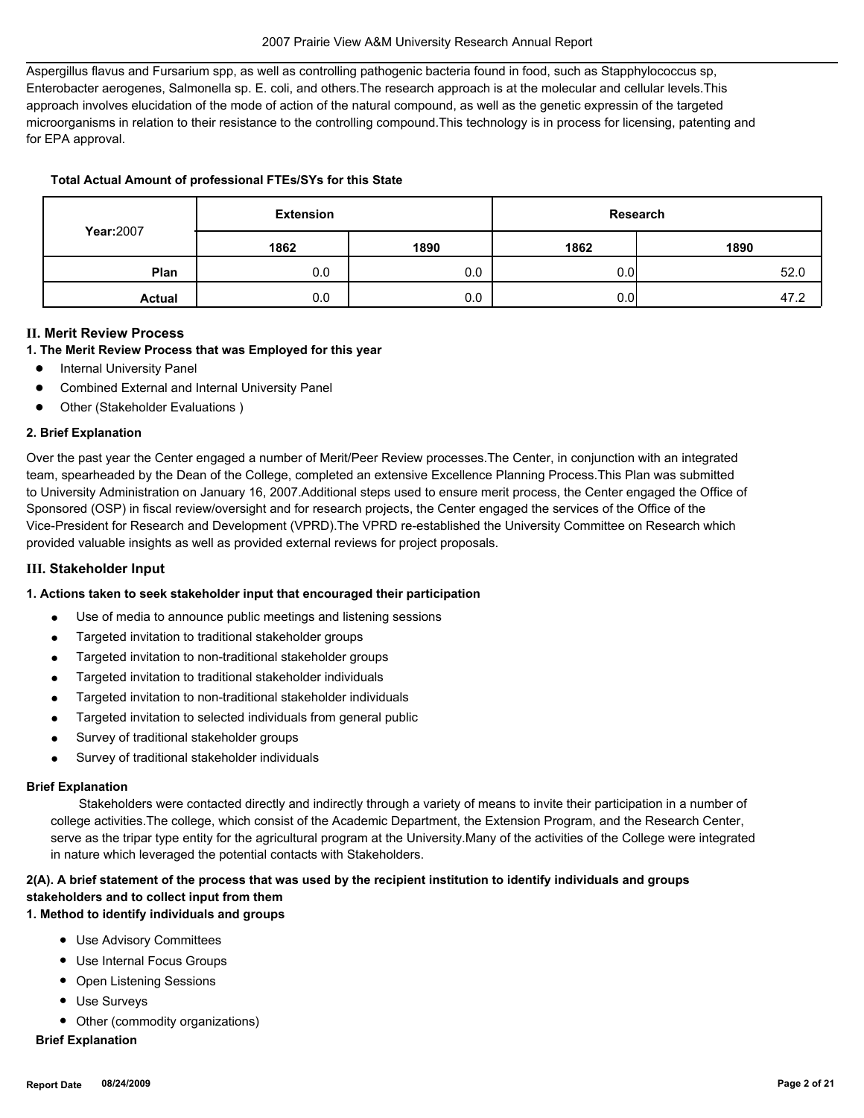Aspergillus flavus and Fursarium spp, as well as controlling pathogenic bacteria found in food, such as Stapphylococcus sp, Enterobacter aerogenes, Salmonella sp. E. coli, and others.The research approach is at the molecular and cellular levels.This approach involves elucidation of the mode of action of the natural compound, as well as the genetic expressin of the targeted microorganisms in relation to their resistance to the controlling compound.This technology is in process for licensing, patenting and for EPA approval.

## **Total Actual Amount of professional FTEs/SYs for this State**

|               | <b>Extension</b> |      |      | Research |
|---------------|------------------|------|------|----------|
| Year: 2007    | 1862             | 1890 | 1862 | 1890     |
| Plan          | 0.0              | 0.0  | 0.01 | 52.0     |
| <b>Actual</b> | 0.0              | 0.0  | 0.01 | 47.2     |

## **II. Merit Review Process**

## **1. The Merit Review Process that was Employed for this year**

- **Internal University Panel**
- Combined External and Internal University Panel
- Other (Stakeholder Evaluations)

#### **2. Brief Explanation**

Over the past year the Center engaged a number of Merit/Peer Review processes.The Center, in conjunction with an integrated team, spearheaded by the Dean of the College, completed an extensive Excellence Planning Process.This Plan was submitted to University Administration on January 16, 2007.Additional steps used to ensure merit process, the Center engaged the Office of Sponsored (OSP) in fiscal review/oversight and for research projects, the Center engaged the services of the Office of the Vice-President for Research and Development (VPRD).The VPRD re-established the University Committee on Research which provided valuable insights as well as provided external reviews for project proposals.

#### **III. Stakeholder Input**

## **1. Actions taken to seek stakeholder input that encouraged their participation**

- Use of media to announce public meetings and listening sessions
- Targeted invitation to traditional stakeholder groups
- Targeted invitation to non-traditional stakeholder groups
- Targeted invitation to traditional stakeholder individuals
- Targeted invitation to non-traditional stakeholder individuals
- Targeted invitation to selected individuals from general public
- Survey of traditional stakeholder groups
- Survey of traditional stakeholder individuals

#### **Brief Explanation**

 Stakeholders were contacted directly and indirectly through a variety of means to invite their participation in a number of college activities.The college, which consist of the Academic Department, the Extension Program, and the Research Center, serve as the tripar type entity for the agricultural program at the University.Many of the activities of the College were integrated in nature which leveraged the potential contacts with Stakeholders.

# **2(A). A brief statement of the process that was used by the recipient institution to identify individuals and groups stakeholders and to collect input from them**

## **1. Method to identify individuals and groups**

- Use Advisory Committees
- Use Internal Focus Groups
- Open Listening Sessions
- Use Surveys
- Other (commodity organizations)

## **Brief Explanation**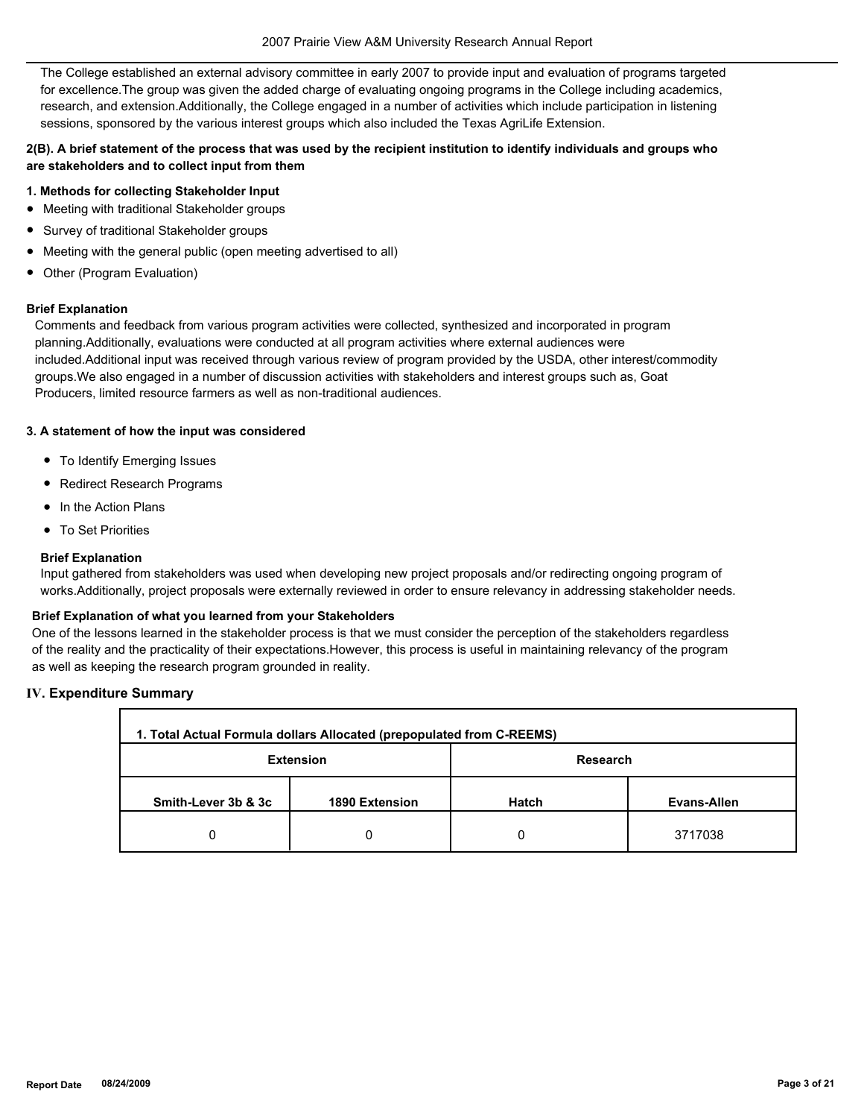The College established an external advisory committee in early 2007 to provide input and evaluation of programs targeted for excellence.The group was given the added charge of evaluating ongoing programs in the College including academics, research, and extension.Additionally, the College engaged in a number of activities which include participation in listening sessions, sponsored by the various interest groups which also included the Texas AgriLife Extension.

## **2(B). A brief statement of the process that was used by the recipient institution to identify individuals and groups who are stakeholders and to collect input from them**

### **1. Methods for collecting Stakeholder Input**

- Meeting with traditional Stakeholder groups
- Survey of traditional Stakeholder groups
- Meeting with the general public (open meeting advertised to all)
- Other (Program Evaluation)

#### **Brief Explanation**

Comments and feedback from various program activities were collected, synthesized and incorporated in program planning.Additionally, evaluations were conducted at all program activities where external audiences were included.Additional input was received through various review of program provided by the USDA, other interest/commodity groups.We also engaged in a number of discussion activities with stakeholders and interest groups such as, Goat Producers, limited resource farmers as well as non-traditional audiences.

## **3. A statement of how the input was considered**

- To Identify Emerging Issues
- Redirect Research Programs
- In the Action Plans
- To Set Priorities

### **Brief Explanation**

Input gathered from stakeholders was used when developing new project proposals and/or redirecting ongoing program of works.Additionally, project proposals were externally reviewed in order to ensure relevancy in addressing stakeholder needs.

#### **Brief Explanation of what you learned from your Stakeholders**

One of the lessons learned in the stakeholder process is that we must consider the perception of the stakeholders regardless of the reality and the practicality of their expectations.However, this process is useful in maintaining relevancy of the program as well as keeping the research program grounded in reality.

## **IV. Expenditure Summary**

| 1. Total Actual Formula dollars Allocated (prepopulated from C-REEMS) |                  |          |             |  |  |
|-----------------------------------------------------------------------|------------------|----------|-------------|--|--|
|                                                                       | <b>Extension</b> | Research |             |  |  |
| Smith-Lever 3b & 3c                                                   | 1890 Extension   | Hatch    | Evans-Allen |  |  |
| 0                                                                     |                  | 0        | 3717038     |  |  |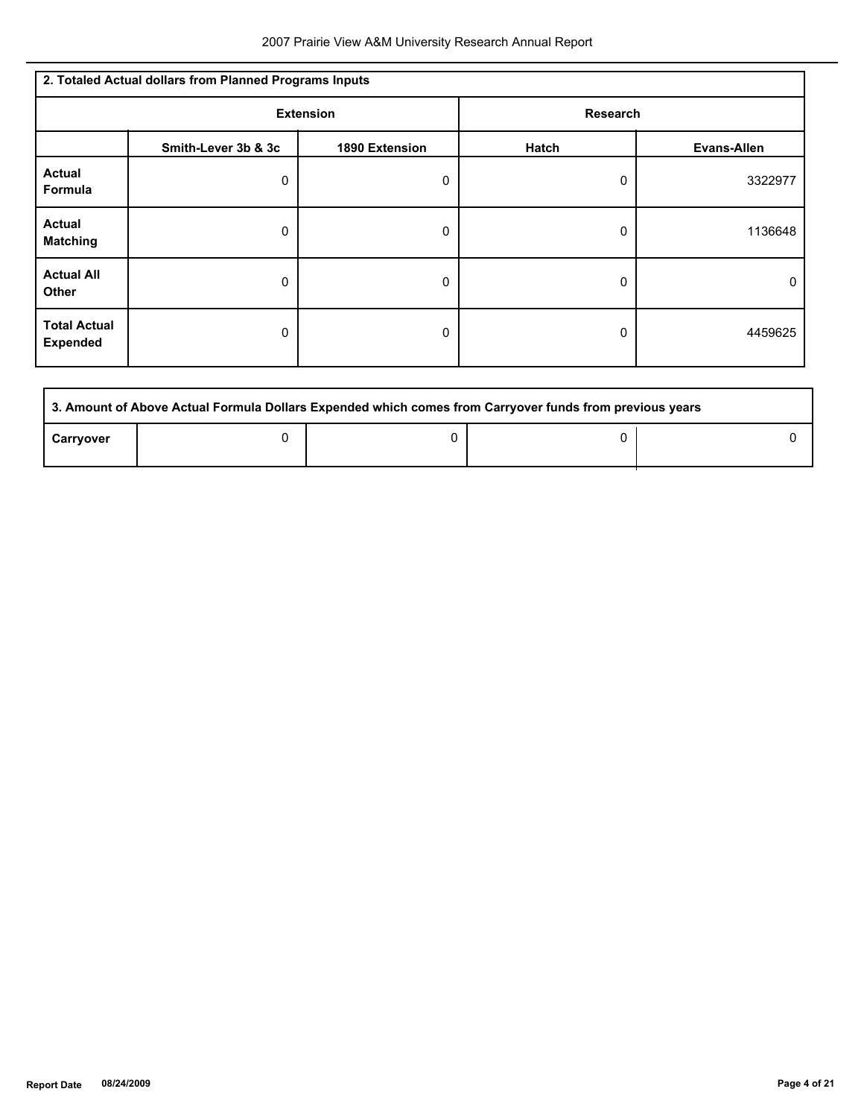| 2. Totaled Actual dollars from Planned Programs Inputs |                     |                |                 |                    |  |
|--------------------------------------------------------|---------------------|----------------|-----------------|--------------------|--|
| <b>Extension</b>                                       |                     |                | <b>Research</b> |                    |  |
|                                                        | Smith-Lever 3b & 3c | 1890 Extension | Hatch           | <b>Evans-Allen</b> |  |
| <b>Actual</b><br>Formula                               | 0                   | 0              | 0               | 3322977            |  |
| <b>Actual</b><br><b>Matching</b>                       | 0                   | 0              | 0               | 1136648            |  |
| <b>Actual All</b><br><b>Other</b>                      | 0                   | 0              | 0               | 0                  |  |
| <b>Total Actual</b><br><b>Expended</b>                 | 0                   | 0              | 0               | 4459625            |  |

| 3. Amount of Above Actual Formula Dollars Expended which comes from Carryover funds from previous years |  |  |  |  |  |
|---------------------------------------------------------------------------------------------------------|--|--|--|--|--|
| Carryover                                                                                               |  |  |  |  |  |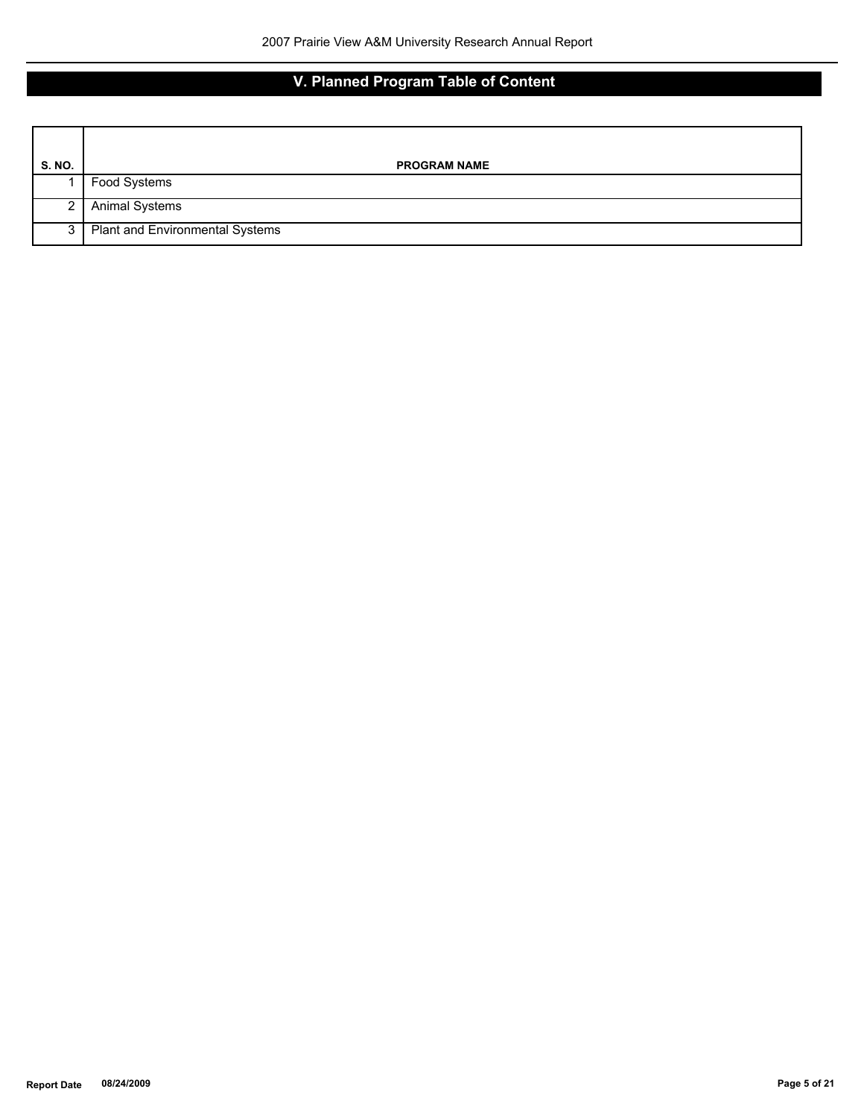# **V. Planned Program Table of Content**

| <b>S. NO.</b> | <b>PROGRAM NAME</b>             |
|---------------|---------------------------------|
|               | Food Systems                    |
| 2 I           | <b>Animal Systems</b>           |
|               | Plant and Environmental Systems |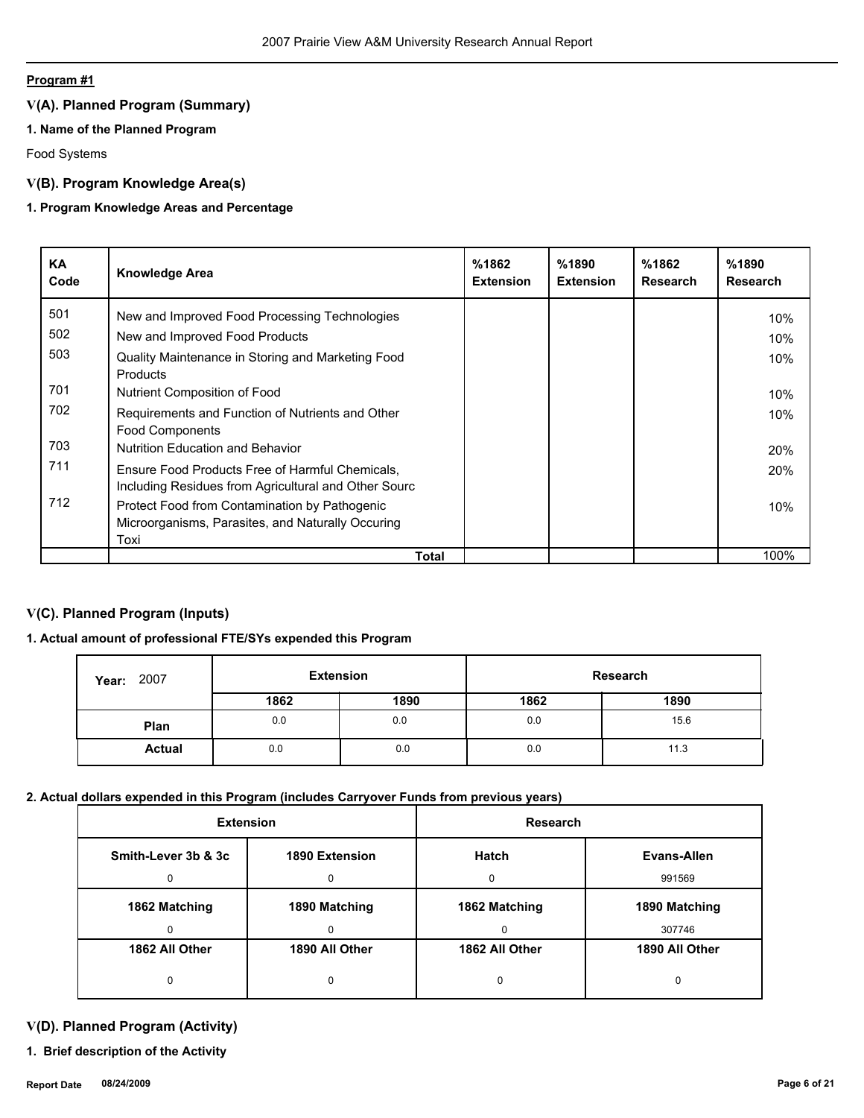## **Program #1**

# **V(A). Planned Program (Summary)**

## **1. Name of the Planned Program**

Food Systems

## **V(B). Program Knowledge Area(s)**

## **1. Program Knowledge Areas and Percentage**

| KA<br>Code | <b>Knowledge Area</b>                                                                                   | %1862<br><b>Extension</b> | %1890<br><b>Extension</b> | %1862<br><b>Research</b> | %1890<br>Research |
|------------|---------------------------------------------------------------------------------------------------------|---------------------------|---------------------------|--------------------------|-------------------|
| 501        | New and Improved Food Processing Technologies                                                           |                           |                           |                          | 10%               |
| 502        | New and Improved Food Products                                                                          |                           |                           |                          | 10%               |
| 503        | Quality Maintenance in Storing and Marketing Food<br>Products                                           |                           |                           |                          | 10%               |
| 701        | Nutrient Composition of Food                                                                            |                           |                           |                          | 10%               |
| 702        | Requirements and Function of Nutrients and Other<br><b>Food Components</b>                              |                           |                           |                          | 10%               |
| 703        | Nutrition Education and Behavior                                                                        |                           |                           |                          | <b>20%</b>        |
| 711        | Ensure Food Products Free of Harmful Chemicals,<br>Including Residues from Agricultural and Other Sourc |                           |                           |                          | 20%               |
| 712        | Protect Food from Contamination by Pathogenic                                                           |                           |                           |                          | 10%               |
|            | Microorganisms, Parasites, and Naturally Occuring                                                       |                           |                           |                          |                   |
|            | Toxi                                                                                                    |                           |                           |                          |                   |
|            | Total                                                                                                   |                           |                           |                          | 100%              |

# **V(C). Planned Program (Inputs)**

## **1. Actual amount of professional FTE/SYs expended this Program**

| <b>Year: 2007</b> | <b>Extension</b> |      | <b>Research</b> |      |
|-------------------|------------------|------|-----------------|------|
|                   | 1862             | 1890 | 1862            | 1890 |
| Plan              | 0.0              | 0.0  | 0.0             | 15.6 |
| <b>Actual</b>     | 0.0              | 0.0  | 0.0             | 11.3 |

## **2. Actual dollars expended in this Program (includes Carryover Funds from previous years)**

| <b>Extension</b>    |                | Research       |                |
|---------------------|----------------|----------------|----------------|
| Smith-Lever 3b & 3c | 1890 Extension | <b>Hatch</b>   | Evans-Allen    |
|                     | 0              | $\Omega$       | 991569         |
| 1862 Matching       | 1890 Matching  | 1862 Matching  | 1890 Matching  |
|                     | $\Omega$       | $\Omega$       | 307746         |
| 1862 All Other      | 1890 All Other | 1862 All Other | 1890 All Other |
|                     | 0              | 0              | O              |

# **V(D). Planned Program (Activity)**

**1. Brief description of the Activity**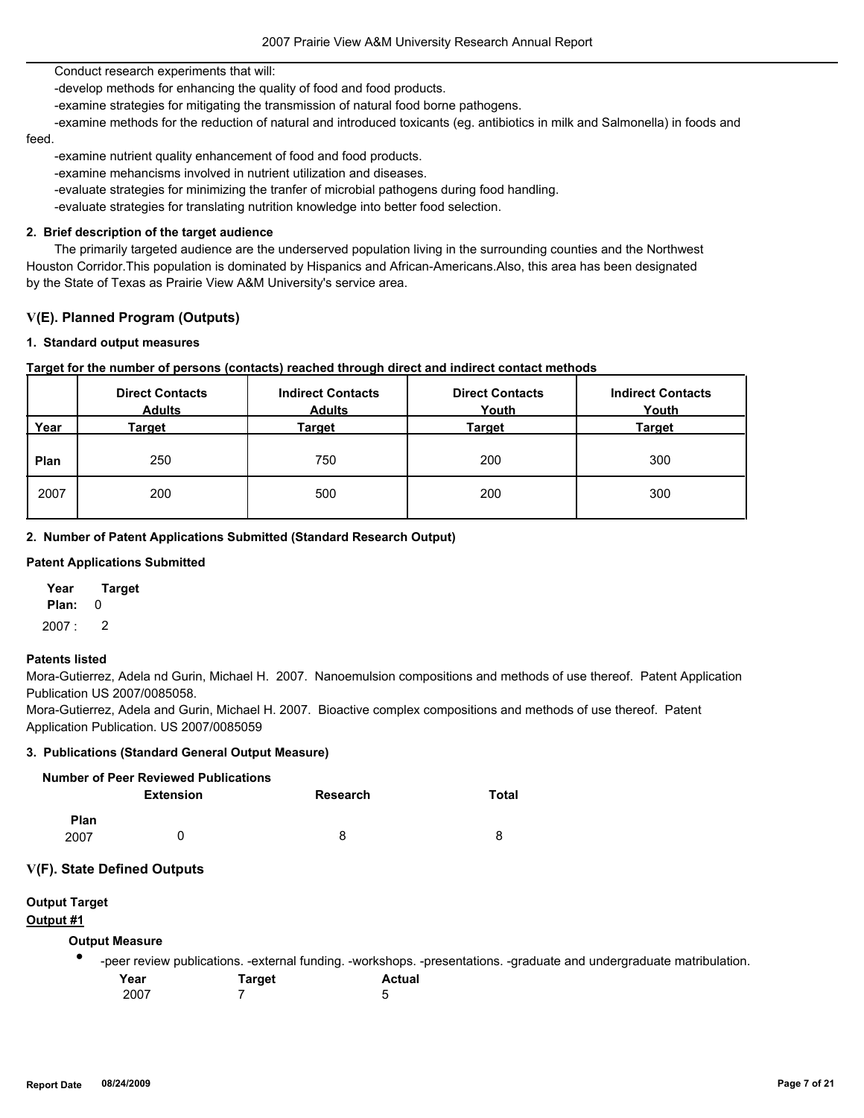Conduct research experiments that will:

-develop methods for enhancing the quality of food and food products.

-examine strategies for mitigating the transmission of natural food borne pathogens.

 -examine methods for the reduction of natural and introduced toxicants (eg. antibiotics in milk and Salmonella) in foods and feed.

-examine nutrient quality enhancement of food and food products.

-examine mehancisms involved in nutrient utilization and diseases.

-evaluate strategies for minimizing the tranfer of microbial pathogens during food handling.

-evaluate strategies for translating nutrition knowledge into better food selection.

### **2. Brief description of the target audience**

 The primarily targeted audience are the underserved population living in the surrounding counties and the Northwest Houston Corridor.This population is dominated by Hispanics and African-Americans.Also, this area has been designated by the State of Texas as Prairie View A&M University's service area.

## **V(E). Planned Program (Outputs)**

#### **1. Standard output measures**

## **Target for the number of persons (contacts) reached through direct and indirect contact methods**

|      | <b>Direct Contacts</b><br><b>Adults</b> | <b>Indirect Contacts</b><br><b>Adults</b> | <b>Direct Contacts</b><br>Youth | <b>Indirect Contacts</b><br>Youth |
|------|-----------------------------------------|-------------------------------------------|---------------------------------|-----------------------------------|
| Year | Target                                  | Target                                    | <b>Target</b>                   | <b>Target</b>                     |
| Plan | 250                                     | 750                                       | 200                             | 300                               |
| 2007 | 200                                     | 500                                       | 200                             | 300                               |

#### **2. Number of Patent Applications Submitted (Standard Research Output)**

## **Patent Applications Submitted**

**Plan:** 0 **Year Target**

2007 : 2

#### **Patents listed**

Mora-Gutierrez, Adela nd Gurin, Michael H. 2007. Nanoemulsion compositions and methods of use thereof. Patent Application Publication US 2007/0085058.

Mora-Gutierrez, Adela and Gurin, Michael H. 2007. Bioactive complex compositions and methods of use thereof. Patent Application Publication. US 2007/0085059

## **3. Publications (Standard General Output Measure)**

|                     | Number of Peer Reviewed Publications |          |       |
|---------------------|--------------------------------------|----------|-------|
|                     | <b>Extension</b>                     | Research | Total |
| <b>Plan</b><br>2007 | $\mathbf{U}$                         | 8        | 8     |

## **V(F). State Defined Outputs**

# **Output Target**

# **Output #1**

# **Output Measure**

● -peer review publications. -external funding. -workshops. -presentations. -graduate and undergraduate matribulation.

| Year | <b>Target</b> | Actual |
|------|---------------|--------|
| 2007 |               | 5      |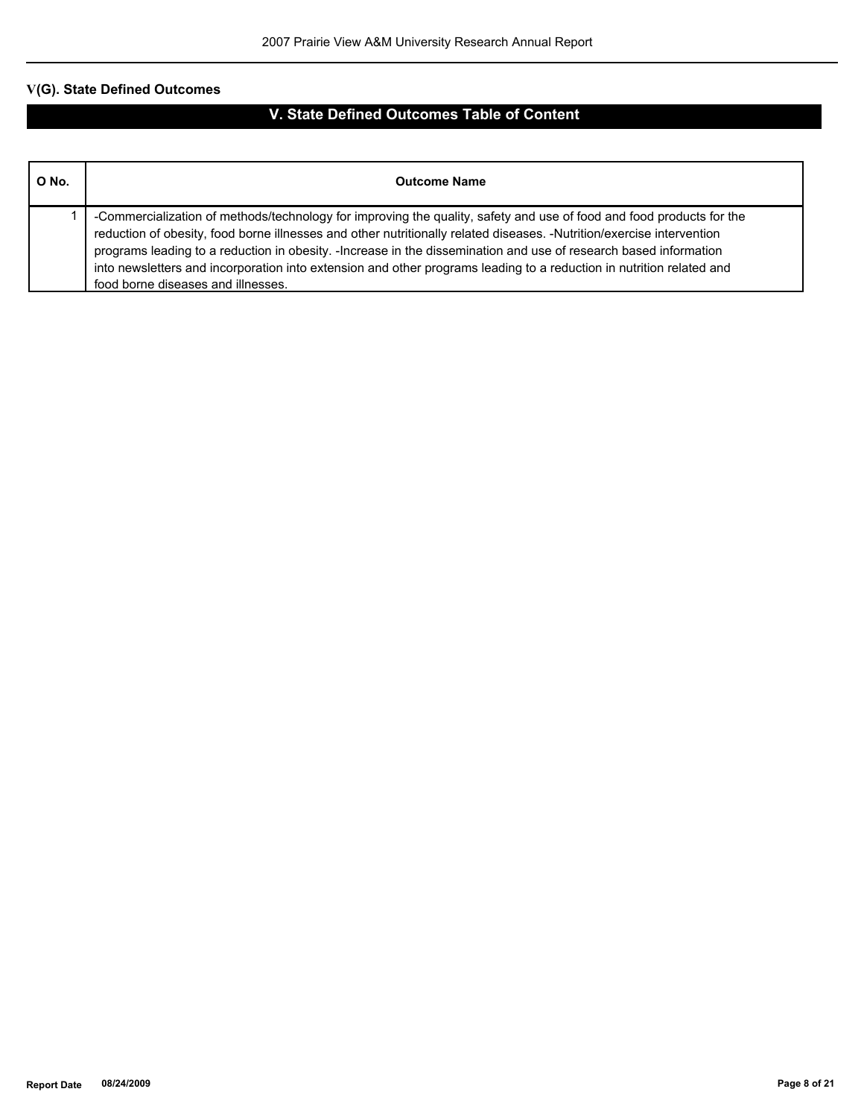# **V(G). State Defined Outcomes**

# **V. State Defined Outcomes Table of Content**

| O No. | <b>Outcome Name</b>                                                                                                                                                                                                                                                                                                                                                                                                                                                                                                             |
|-------|---------------------------------------------------------------------------------------------------------------------------------------------------------------------------------------------------------------------------------------------------------------------------------------------------------------------------------------------------------------------------------------------------------------------------------------------------------------------------------------------------------------------------------|
|       | -Commercialization of methods/technology for improving the quality, safety and use of food and food products for the<br>reduction of obesity, food borne illnesses and other nutritionally related diseases. -Nutrition/exercise intervention<br>programs leading to a reduction in obesity. -Increase in the dissemination and use of research based information<br>into newsletters and incorporation into extension and other programs leading to a reduction in nutrition related and<br>food borne diseases and illnesses. |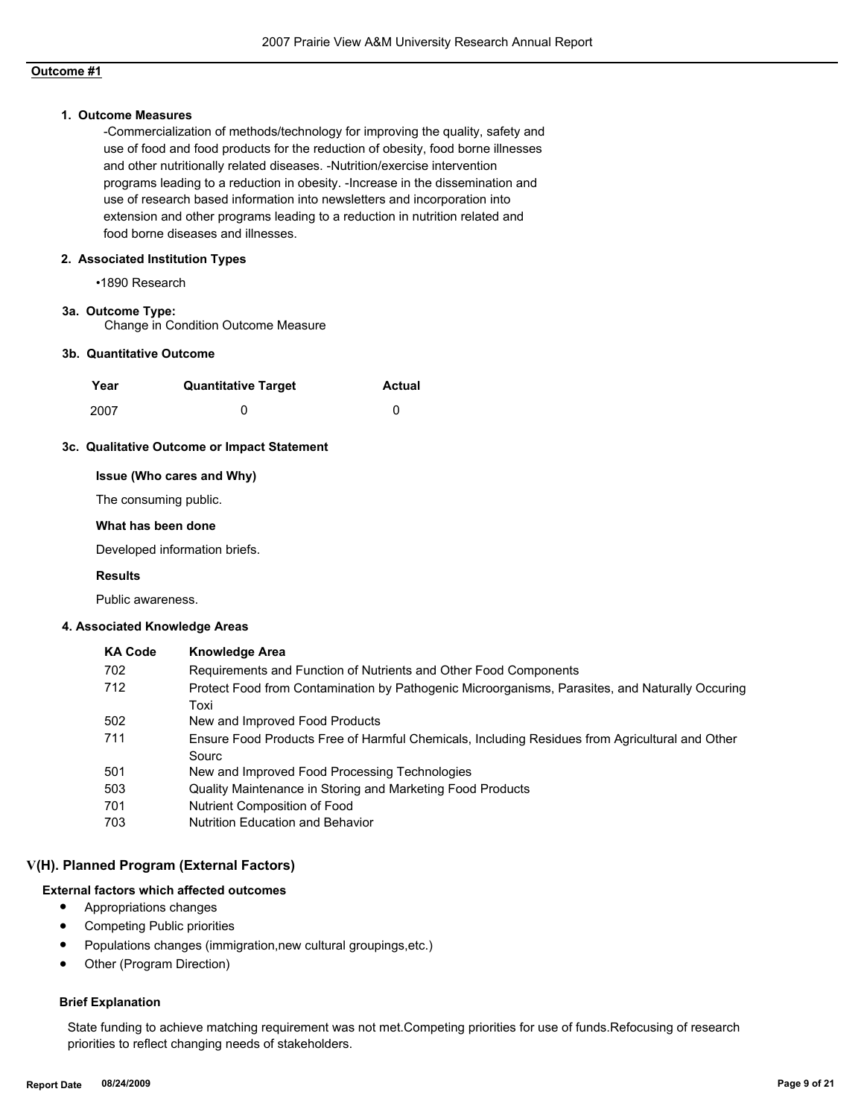## **Outcome #1**

#### **1. Outcome Measures**

-Commercialization of methods/technology for improving the quality, safety and use of food and food products for the reduction of obesity, food borne illnesses and other nutritionally related diseases. -Nutrition/exercise intervention programs leading to a reduction in obesity. -Increase in the dissemination and use of research based information into newsletters and incorporation into extension and other programs leading to a reduction in nutrition related and food borne diseases and illnesses.

#### **2. Associated Institution Types**

•1890 Research

#### **3a. Outcome Type:**

Change in Condition Outcome Measure

#### **3b. Quantitative Outcome**

| Year | <b>Quantitative Target</b> | <b>Actual</b> |
|------|----------------------------|---------------|
| 2007 |                            |               |

#### **3c. Qualitative Outcome or Impact Statement**

## **Issue (Who cares and Why)**

The consuming public.

#### **What has been done**

Developed information briefs.

#### **Results**

Public awareness.

#### **4. Associated Knowledge Areas**

| <b>KA Code</b> | <b>Knowledge Area</b>                                                                                   |
|----------------|---------------------------------------------------------------------------------------------------------|
| 702            | Requirements and Function of Nutrients and Other Food Components                                        |
| 712            | Protect Food from Contamination by Pathogenic Microorganisms, Parasites, and Naturally Occuring<br>Toxi |
| 502            | New and Improved Food Products                                                                          |
| 711            | Ensure Food Products Free of Harmful Chemicals, Including Residues from Agricultural and Other<br>Sourc |
| 501            | New and Improved Food Processing Technologies                                                           |
| 503            | Quality Maintenance in Storing and Marketing Food Products                                              |
| 701            | Nutrient Composition of Food                                                                            |
| 703            | <b>Nutrition Education and Behavior</b>                                                                 |

## **V(H). Planned Program (External Factors)**

#### **External factors which affected outcomes**

- Appropriations changes
- Competing Public priorities
- Populations changes (immigration,new cultural groupings,etc.)
- Other (Program Direction)

#### **Brief Explanation**

State funding to achieve matching requirement was not met.Competing priorities for use of funds.Refocusing of research priorities to reflect changing needs of stakeholders.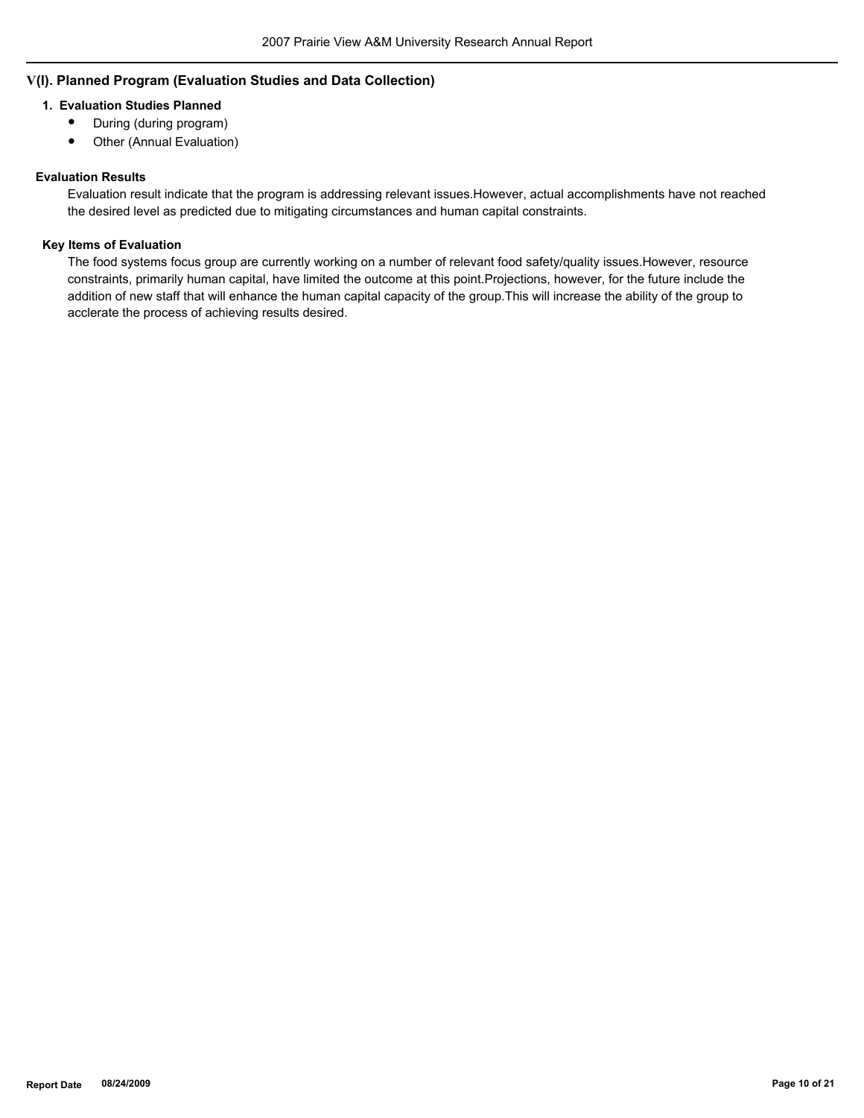## **V(I). Planned Program (Evaluation Studies and Data Collection)**

## **1. Evaluation Studies Planned**

- During (during program)
- Other (Annual Evaluation)

#### **Evaluation Results**

Evaluation result indicate that the program is addressing relevant issues.However, actual accomplishments have not reached the desired level as predicted due to mitigating circumstances and human capital constraints.

#### **Key Items of Evaluation**

The food systems focus group are currently working on a number of relevant food safety/quality issues.However, resource constraints, primarily human capital, have limited the outcome at this point.Projections, however, for the future include the addition of new staff that will enhance the human capital capacity of the group.This will increase the ability of the group to acclerate the process of achieving results desired.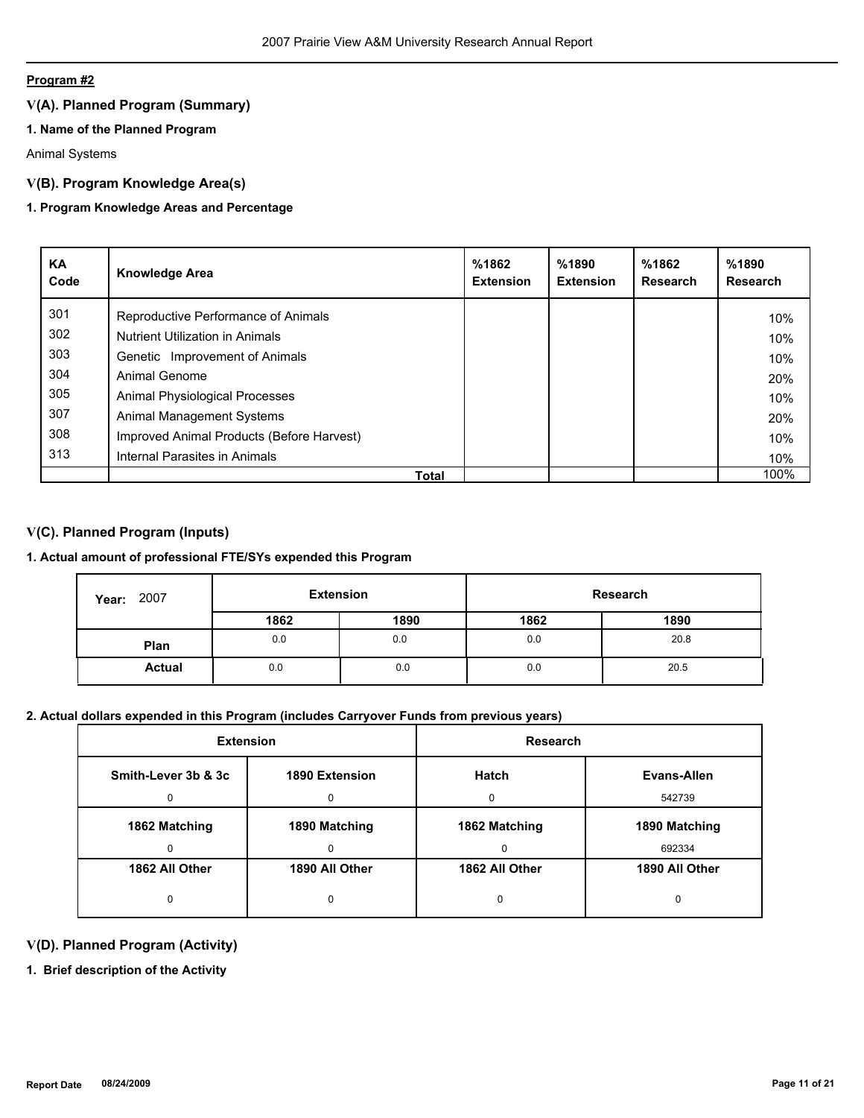## **Program #2**

# **V(A). Planned Program (Summary)**

## **1. Name of the Planned Program**

Animal Systems

## **V(B). Program Knowledge Area(s)**

## **1. Program Knowledge Areas and Percentage**

| KA<br>Code | <b>Knowledge Area</b>                     | %1862<br><b>Extension</b> | %1890<br><b>Extension</b> | %1862<br>Research | %1890<br>Research |
|------------|-------------------------------------------|---------------------------|---------------------------|-------------------|-------------------|
| 301        | Reproductive Performance of Animals       |                           |                           |                   | 10%               |
| 302        | <b>Nutrient Utilization in Animals</b>    |                           |                           |                   | 10%               |
| 303        | Genetic Improvement of Animals            |                           |                           |                   | 10%               |
| 304        | Animal Genome                             |                           |                           |                   | 20%               |
| 305        | Animal Physiological Processes            |                           |                           |                   | 10%               |
| 307        | Animal Management Systems                 |                           |                           |                   | 20%               |
| 308        | Improved Animal Products (Before Harvest) |                           |                           |                   | 10%               |
| 313        | Internal Parasites in Animals             |                           |                           |                   | 10%               |
|            | Total                                     |                           |                           |                   | 100%              |

## **V(C). Planned Program (Inputs)**

## **1. Actual amount of professional FTE/SYs expended this Program**

| 2007<br>Year: | <b>Extension</b> |      |      | Research |
|---------------|------------------|------|------|----------|
|               | 1862             | 1890 | 1862 | 1890     |
| Plan          | 0.0              | 0.0  | 0.0  | 20.8     |
| <b>Actual</b> | 0.0              | 0.0  | 0.0  | 20.5     |

## **2. Actual dollars expended in this Program (includes Carryover Funds from previous years)**

| <b>Extension</b>    |                | Research       |                |  |
|---------------------|----------------|----------------|----------------|--|
| Smith-Lever 3b & 3c | 1890 Extension | Hatch          | Evans-Allen    |  |
|                     |                |                | 542739         |  |
| 1862 Matching       | 1890 Matching  | 1862 Matching  | 1890 Matching  |  |
|                     |                | $\Omega$       | 692334         |  |
| 1862 All Other      | 1890 All Other | 1862 All Other | 1890 All Other |  |
|                     |                | 0              |                |  |

## **V(D). Planned Program (Activity)**

**1. Brief description of the Activity**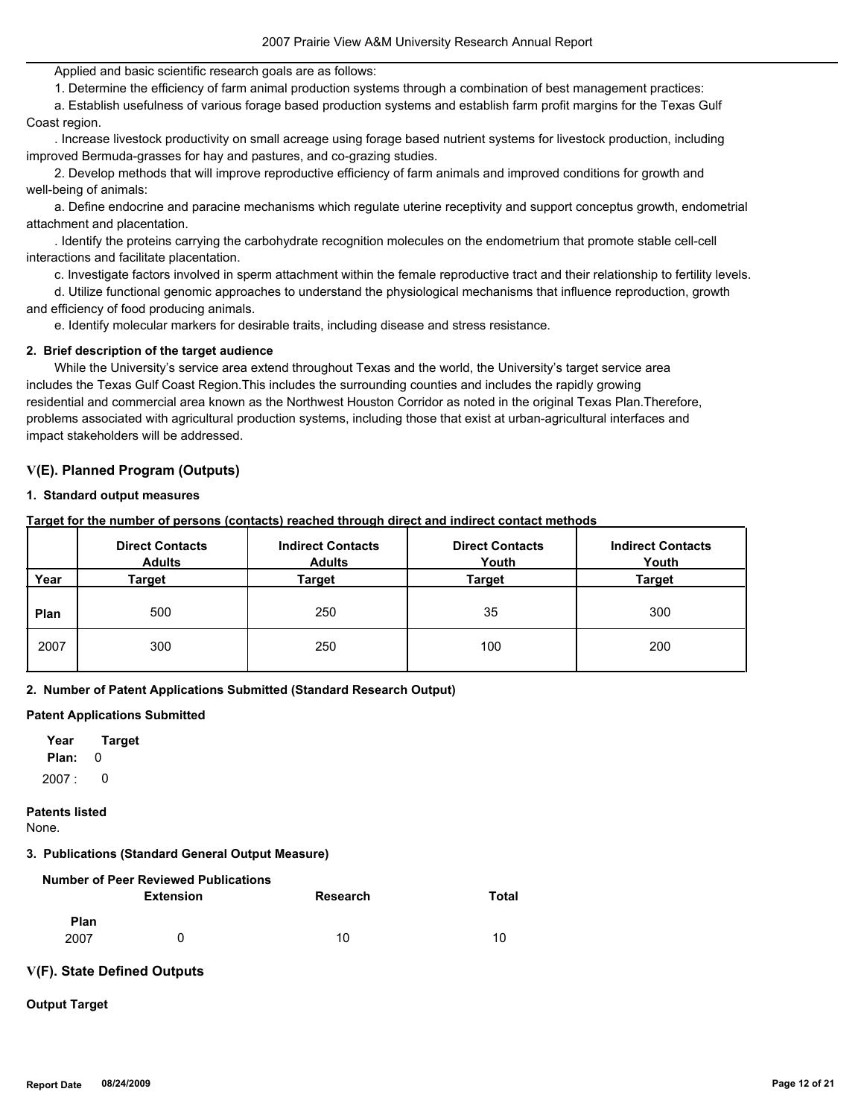Applied and basic scientific research goals are as follows:

1. Determine the efficiency of farm animal production systems through a combination of best management practices:

 a. Establish usefulness of various forage based production systems and establish farm profit margins for the Texas Gulf Coast region.

 . Increase livestock productivity on small acreage using forage based nutrient systems for livestock production, including improved Bermuda-grasses for hay and pastures, and co-grazing studies.

 2. Develop methods that will improve reproductive efficiency of farm animals and improved conditions for growth and well-being of animals:

 a. Define endocrine and paracine mechanisms which regulate uterine receptivity and support conceptus growth, endometrial attachment and placentation.

 . Identify the proteins carrying the carbohydrate recognition molecules on the endometrium that promote stable cell-cell interactions and facilitate placentation.

c. Investigate factors involved in sperm attachment within the female reproductive tract and their relationship to fertility levels.

 d. Utilize functional genomic approaches to understand the physiological mechanisms that influence reproduction, growth and efficiency of food producing animals.

e. Identify molecular markers for desirable traits, including disease and stress resistance.

#### **2. Brief description of the target audience**

 While the University's service area extend throughout Texas and the world, the University's target service area includes the Texas Gulf Coast Region.This includes the surrounding counties and includes the rapidly growing residential and commercial area known as the Northwest Houston Corridor as noted in the original Texas Plan.Therefore, problems associated with agricultural production systems, including those that exist at urban-agricultural interfaces and impact stakeholders will be addressed.

## **V(E). Planned Program (Outputs)**

#### **1. Standard output measures**

**Target for the number of persons (contacts) reached through direct and indirect contact methods**

|      | <b>Direct Contacts</b><br><b>Adults</b> | <b>Indirect Contacts</b><br><b>Adults</b> | <b>Direct Contacts</b><br>Youth | <b>Indirect Contacts</b><br>Youth |  |
|------|-----------------------------------------|-------------------------------------------|---------------------------------|-----------------------------------|--|
| Year | Target                                  | Target                                    | Target                          | Target                            |  |
| Plan | 500                                     | 250                                       | 35                              | 300                               |  |
| 2007 | 300                                     | 250                                       | 100                             | 200                               |  |

#### **2. Number of Patent Applications Submitted (Standard Research Output)**

#### **Patent Applications Submitted**

**Plan:** 0 **Year Target**  $2007: 0$ 

#### **Patents listed**

None.

## **3. Publications (Standard General Output Measure)**

|      | <b>Number of Peer Reviewed Publications</b> |          |       |
|------|---------------------------------------------|----------|-------|
|      | <b>Extension</b>                            | Research | Total |
| Plan |                                             |          |       |
| 2007 | <sup>n</sup>                                | 10       | 10    |

# **V(F). State Defined Outputs**

## **Output Target**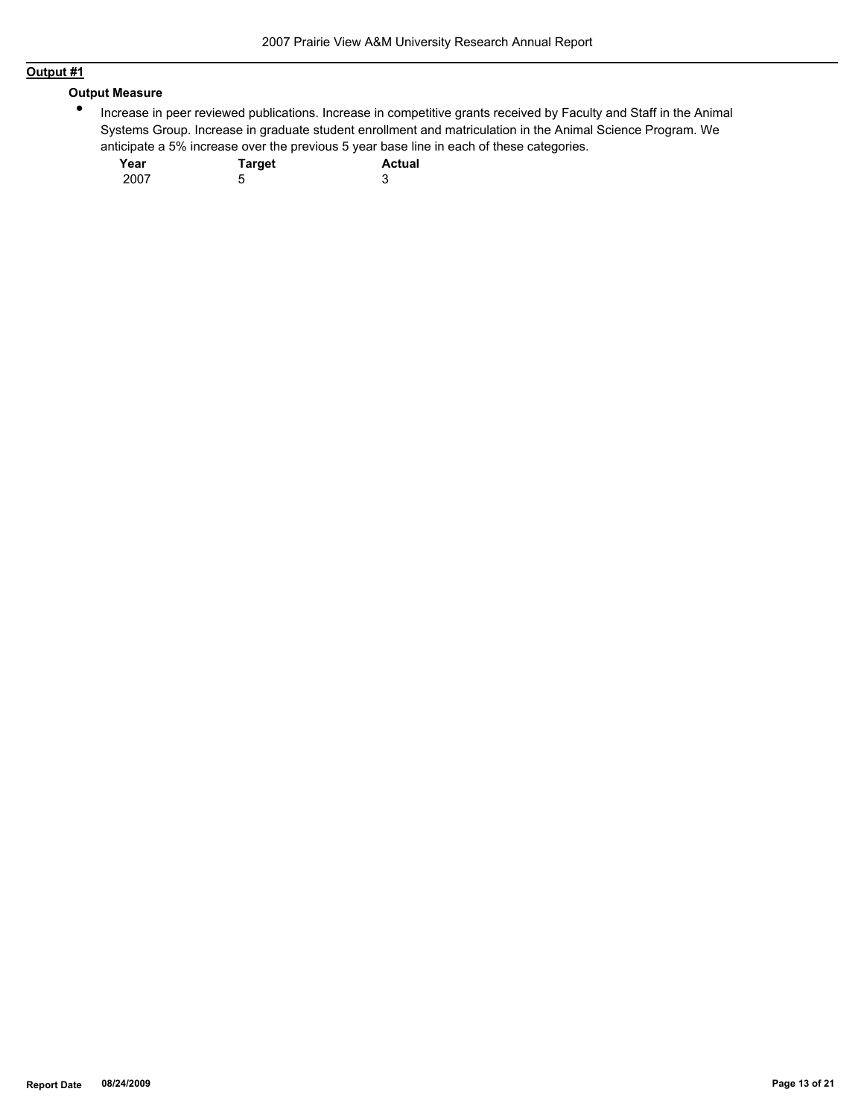# **Output #1**

## **Output Measure**

 $\bullet$ Increase in peer reviewed publications. Increase in competitive grants received by Faculty and Staff in the Animal Systems Group. Increase in graduate student enrollment and matriculation in the Animal Science Program. We anticipate a 5% increase over the previous 5 year base line in each of these categories.

| Year | <b>Target</b> | <b>Actual</b> |
|------|---------------|---------------|
| 2007 | b             | J             |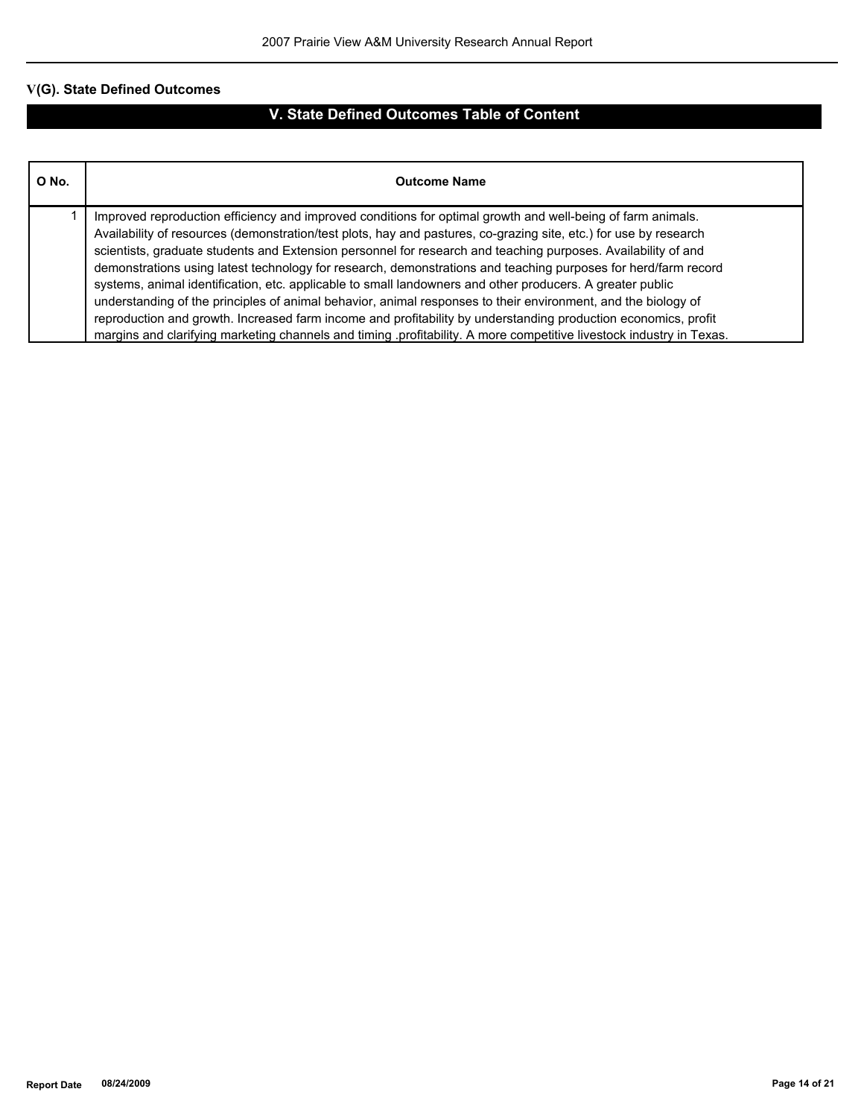# **V(G). State Defined Outcomes**

# **V. State Defined Outcomes Table of Content**

| O No. | <b>Outcome Name</b>                                                                                                                                                                                                                                                                                                                                                                                                                                                                                                                                                                                                                                                                                                                                                                                                                                                                                                                         |
|-------|---------------------------------------------------------------------------------------------------------------------------------------------------------------------------------------------------------------------------------------------------------------------------------------------------------------------------------------------------------------------------------------------------------------------------------------------------------------------------------------------------------------------------------------------------------------------------------------------------------------------------------------------------------------------------------------------------------------------------------------------------------------------------------------------------------------------------------------------------------------------------------------------------------------------------------------------|
|       | Improved reproduction efficiency and improved conditions for optimal growth and well-being of farm animals.<br>Availability of resources (demonstration/test plots, hay and pastures, co-grazing site, etc.) for use by research<br>scientists, graduate students and Extension personnel for research and teaching purposes. Availability of and<br>demonstrations using latest technology for research, demonstrations and teaching purposes for herd/farm record<br>systems, animal identification, etc. applicable to small landowners and other producers. A greater public<br>understanding of the principles of animal behavior, animal responses to their environment, and the biology of<br>reproduction and growth. Increased farm income and profitability by understanding production economics, profit<br>margins and clarifying marketing channels and timing .profitability. A more competitive livestock industry in Texas. |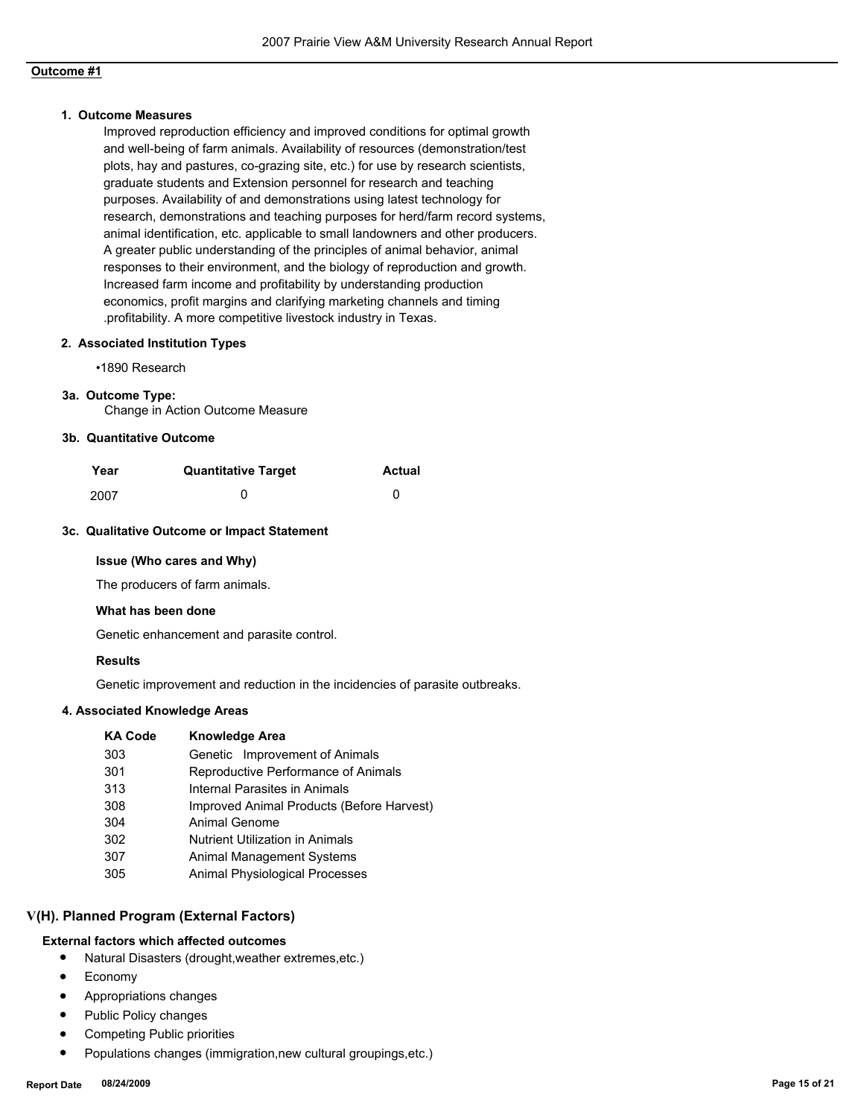## **Outcome #1**

#### **1. Outcome Measures**

Improved reproduction efficiency and improved conditions for optimal growth and well-being of farm animals. Availability of resources (demonstration/test plots, hay and pastures, co-grazing site, etc.) for use by research scientists, graduate students and Extension personnel for research and teaching purposes. Availability of and demonstrations using latest technology for research, demonstrations and teaching purposes for herd/farm record systems, animal identification, etc. applicable to small landowners and other producers. A greater public understanding of the principles of animal behavior, animal responses to their environment, and the biology of reproduction and growth. Increased farm income and profitability by understanding production economics, profit margins and clarifying marketing channels and timing .profitability. A more competitive livestock industry in Texas.

#### **2. Associated Institution Types**

•1890 Research

#### **3a. Outcome Type:**

Change in Action Outcome Measure

#### **3b. Quantitative Outcome**

| Year | <b>Quantitative Target</b> | <b>Actual</b> |
|------|----------------------------|---------------|
| 2007 |                            |               |

#### **3c. Qualitative Outcome or Impact Statement**

#### **Issue (Who cares and Why)**

The producers of farm animals.

#### **What has been done**

Genetic enhancement and parasite control.

#### **Results**

Genetic improvement and reduction in the incidencies of parasite outbreaks.

#### **4. Associated Knowledge Areas**

| <b>KA Code</b> | <b>Knowledge Area</b>                     |
|----------------|-------------------------------------------|
| 303            | Genetic Improvement of Animals            |
| 301            | Reproductive Performance of Animals       |
| 313            | Internal Parasites in Animals             |
| 308            | Improved Animal Products (Before Harvest) |
| 304            | Animal Genome                             |
| 302            | <b>Nutrient Utilization in Animals</b>    |
| 307            | <b>Animal Management Systems</b>          |
| 305            | <b>Animal Physiological Processes</b>     |

## **V(H). Planned Program (External Factors)**

### **External factors which affected outcomes**

- Natural Disasters (drought,weather extremes,etc.)
- **Economy**
- Appropriations changes
- Public Policy changes
- Competing Public priorities
- Populations changes (immigration,new cultural groupings,etc.)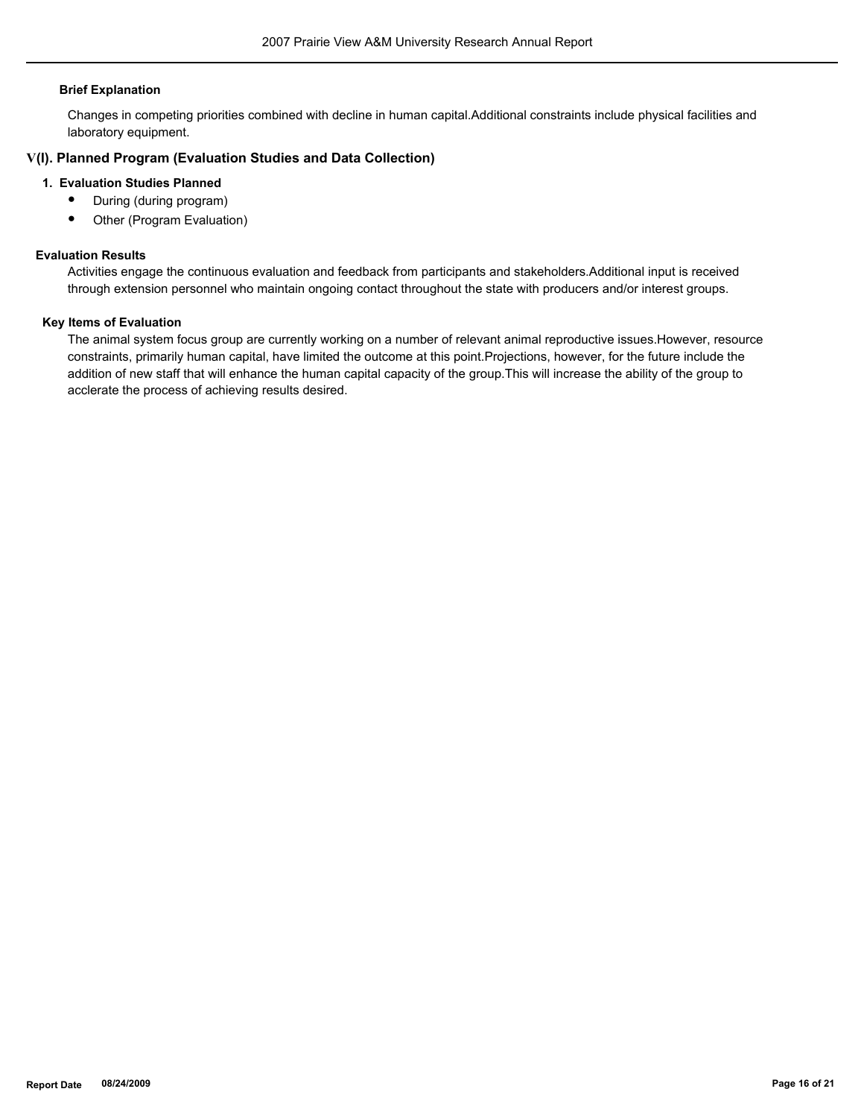#### **Brief Explanation**

Changes in competing priorities combined with decline in human capital.Additional constraints include physical facilities and laboratory equipment.

#### **V(I). Planned Program (Evaluation Studies and Data Collection)**

#### **1. Evaluation Studies Planned**

- During (during program)
- Other (Program Evaluation)

## **Evaluation Results**

Activities engage the continuous evaluation and feedback from participants and stakeholders.Additional input is received through extension personnel who maintain ongoing contact throughout the state with producers and/or interest groups.

#### **Key Items of Evaluation**

The animal system focus group are currently working on a number of relevant animal reproductive issues.However, resource constraints, primarily human capital, have limited the outcome at this point.Projections, however, for the future include the addition of new staff that will enhance the human capital capacity of the group.This will increase the ability of the group to acclerate the process of achieving results desired.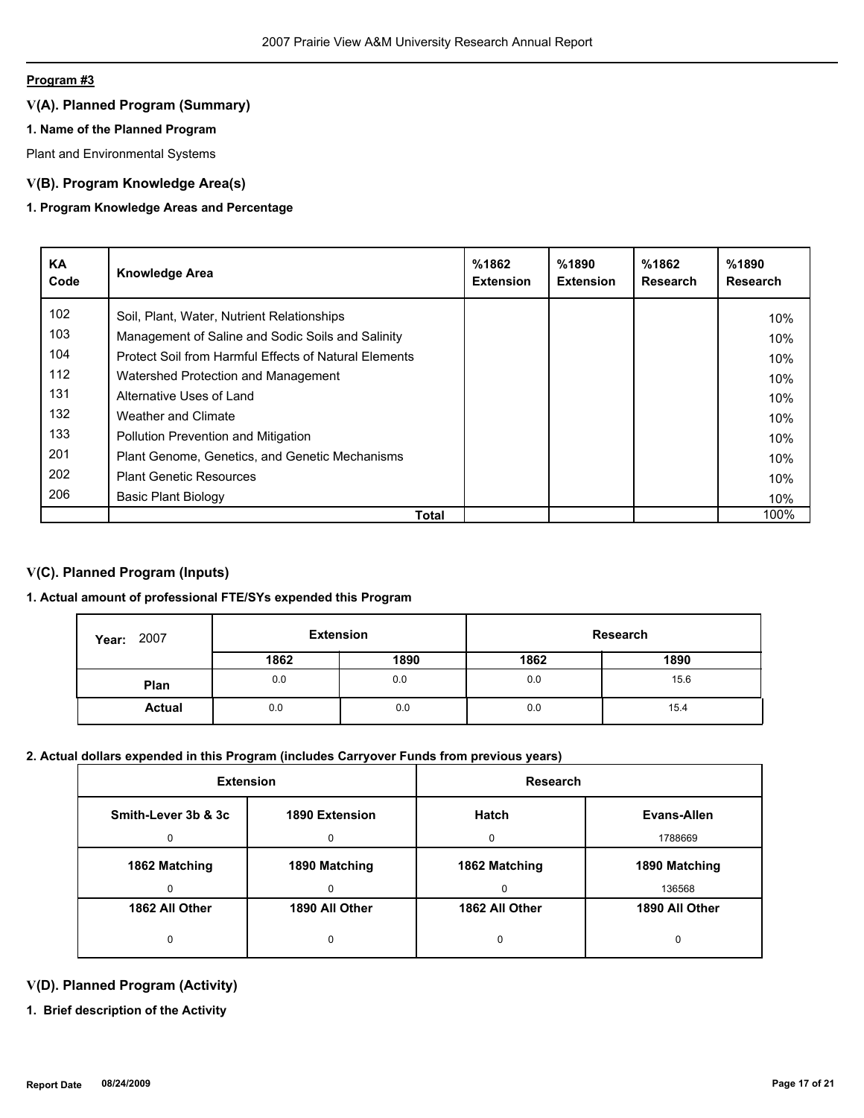## **Program #3**

# **V(A). Planned Program (Summary)**

## **1. Name of the Planned Program**

Plant and Environmental Systems

## **V(B). Program Knowledge Area(s)**

## **1. Program Knowledge Areas and Percentage**

| <b>KA</b><br>Code | <b>Knowledge Area</b>                                 | %1862<br><b>Extension</b> | %1890<br><b>Extension</b> | %1862<br><b>Research</b> | %1890<br><b>Research</b> |
|-------------------|-------------------------------------------------------|---------------------------|---------------------------|--------------------------|--------------------------|
| 102               | Soil, Plant, Water, Nutrient Relationships            |                           |                           |                          | 10%                      |
| 103               | Management of Saline and Sodic Soils and Salinity     |                           |                           |                          | 10%                      |
| 104               | Protect Soil from Harmful Effects of Natural Elements |                           |                           |                          | 10%                      |
| 112               | Watershed Protection and Management                   |                           |                           |                          | 10%                      |
| 131               | Alternative Uses of Land                              |                           |                           |                          | 10%                      |
| 132               | Weather and Climate                                   |                           |                           |                          | 10%                      |
| 133               | <b>Pollution Prevention and Mitigation</b>            |                           |                           |                          | 10%                      |
| 201               | Plant Genome, Genetics, and Genetic Mechanisms        |                           |                           |                          | 10%                      |
| 202               | <b>Plant Genetic Resources</b>                        |                           |                           |                          | 10%                      |
| 206               | <b>Basic Plant Biology</b>                            |                           |                           |                          | 10%                      |
|                   | Total                                                 |                           |                           |                          | 100%                     |

## **V(C). Planned Program (Inputs)**

## **1. Actual amount of professional FTE/SYs expended this Program**

| 2007<br>Year: | <b>Extension</b> |      |      | Research |
|---------------|------------------|------|------|----------|
|               | 1862             | 1890 | 1862 | 1890     |
| Plan          | 0.0              | 0.0  | 0.0  | 15.6     |
| <b>Actual</b> | 0.0              | 0.0  | 0.0  | 15.4     |

# **2. Actual dollars expended in this Program (includes Carryover Funds from previous years)**

| <b>Extension</b>    |                | <b>Research</b> |                |
|---------------------|----------------|-----------------|----------------|
| Smith-Lever 3b & 3c | 1890 Extension | <b>Hatch</b>    | Evans-Allen    |
|                     | 0              | <sup>0</sup>    | 1788669        |
| 1862 Matching       | 1890 Matching  | 1862 Matching   | 1890 Matching  |
|                     | $\Omega$       | $\Omega$        | 136568         |
| 1862 All Other      | 1890 All Other | 1862 All Other  | 1890 All Other |
|                     | 0              | 0               | 0              |

## **V(D). Planned Program (Activity)**

**1. Brief description of the Activity**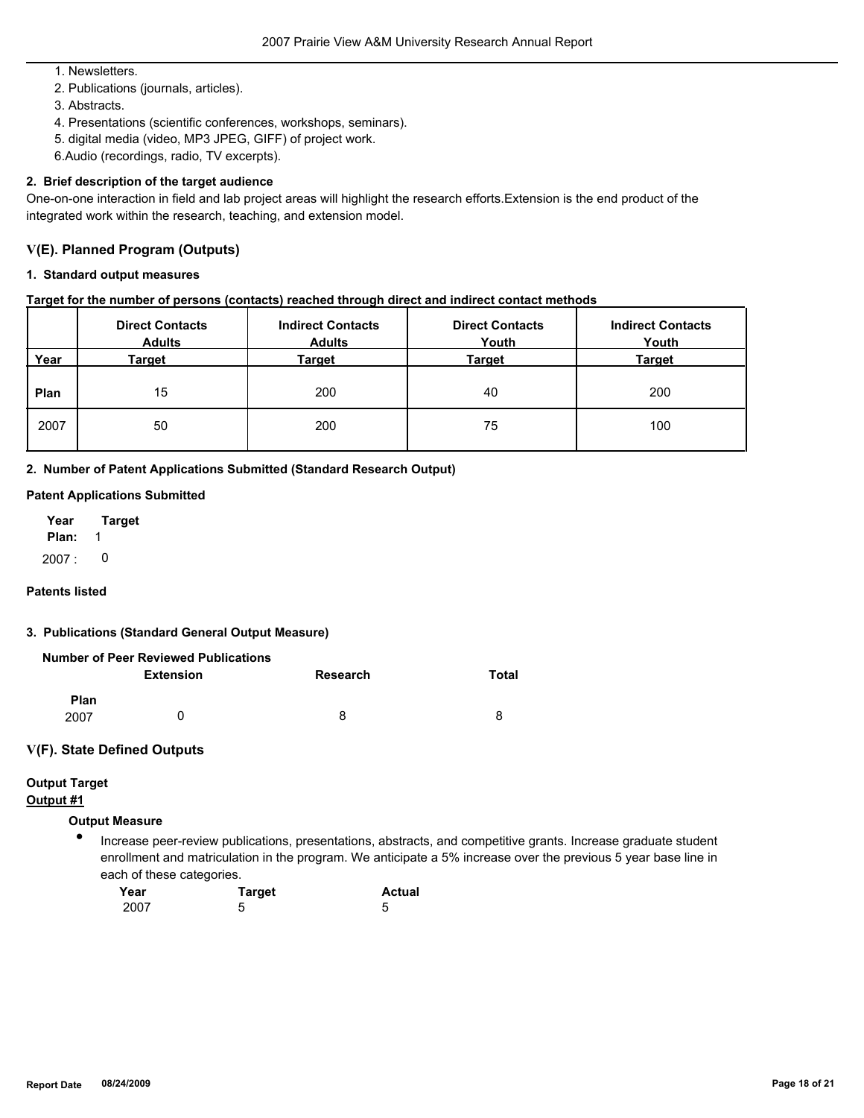1. Newsletters.

2. Publications (journals, articles).

3. Abstracts.

4. Presentations (scientific conferences, workshops, seminars).

5. digital media (video, MP3 JPEG, GIFF) of project work.

6.Audio (recordings, radio, TV excerpts).

## **2. Brief description of the target audience**

One-on-one interaction in field and lab project areas will highlight the research efforts.Extension is the end product of the integrated work within the research, teaching, and extension model.

## **V(E). Planned Program (Outputs)**

### **1. Standard output measures**

## **Target for the number of persons (contacts) reached through direct and indirect contact methods**

|      | <b>Direct Contacts</b><br><b>Adults</b> | <b>Indirect Contacts</b><br><b>Adults</b> | <b>Direct Contacts</b><br>Youth | <b>Indirect Contacts</b><br>Youth |
|------|-----------------------------------------|-------------------------------------------|---------------------------------|-----------------------------------|
| Year | Target                                  | Target                                    | Target                          | <b>Target</b>                     |
| Plan | 15                                      | 200                                       | 40                              | 200                               |
| 2007 | 50                                      | 200                                       | 75                              | 100                               |

**2. Number of Patent Applications Submitted (Standard Research Output)**

## **Patent Applications Submitted**

**Plan:** 1 **Year Target** 2007 : 0

#### **Patents listed**

#### **3. Publications (Standard General Output Measure)**

|      | Number of Peer Reviewed Publications |          |       |
|------|--------------------------------------|----------|-------|
|      | <b>Extension</b>                     | Research | Total |
| Plan |                                      |          |       |
| 2007 | $\mathbf{I}$                         | 8        | 8     |

## **V(F). State Defined Outputs**

# **Output Target**

## **Output #1**

## **Output Measure**

● Increase peer-review publications, presentations, abstracts, and competitive grants. Increase graduate student enrollment and matriculation in the program. We anticipate a 5% increase over the previous 5 year base line in each of these categories.

| Year | <b>Target</b> | <b>Actual</b> |
|------|---------------|---------------|
| 2007 | 0             |               |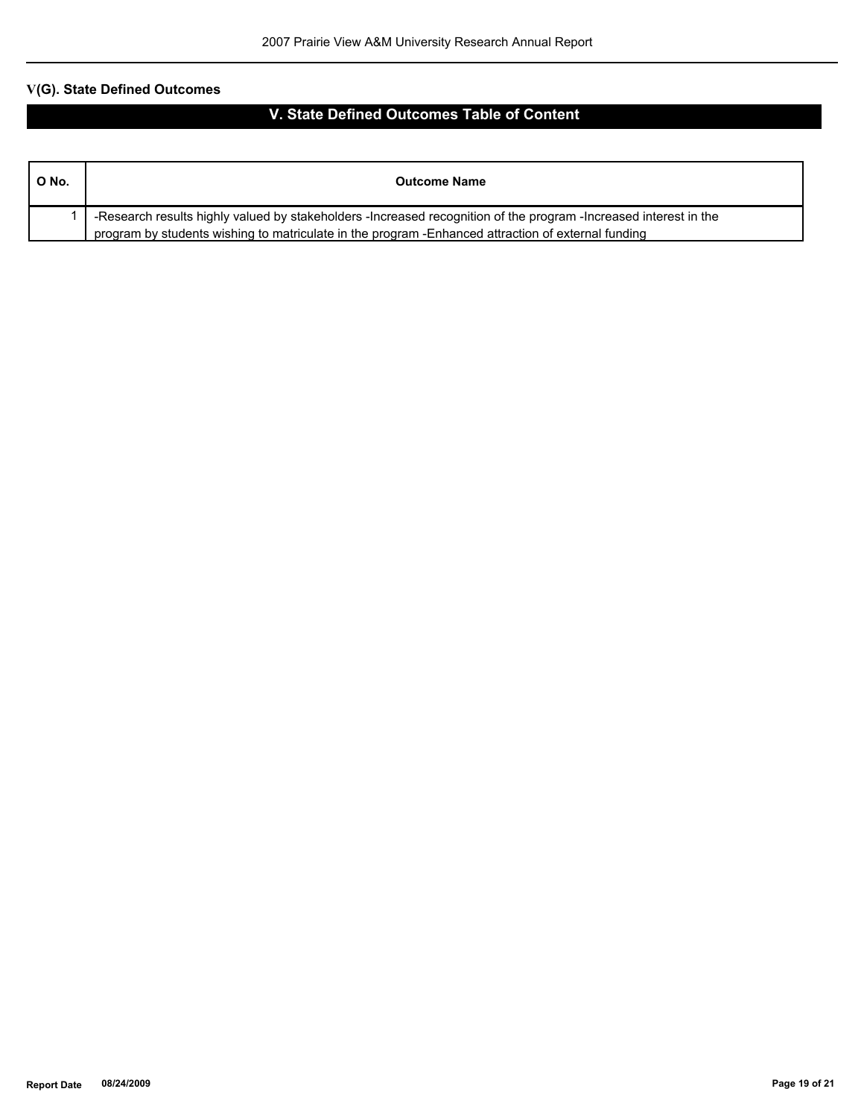# **V(G). State Defined Outcomes**

# **V. State Defined Outcomes Table of Content**

| <b>Outcome Name</b>                                                                                                                                                                                                     |
|-------------------------------------------------------------------------------------------------------------------------------------------------------------------------------------------------------------------------|
| -Research results highly valued by stakeholders -Increased recognition of the program -Increased interest in the<br>program by students wishing to matriculate in the program - Enhanced attraction of external funding |
|                                                                                                                                                                                                                         |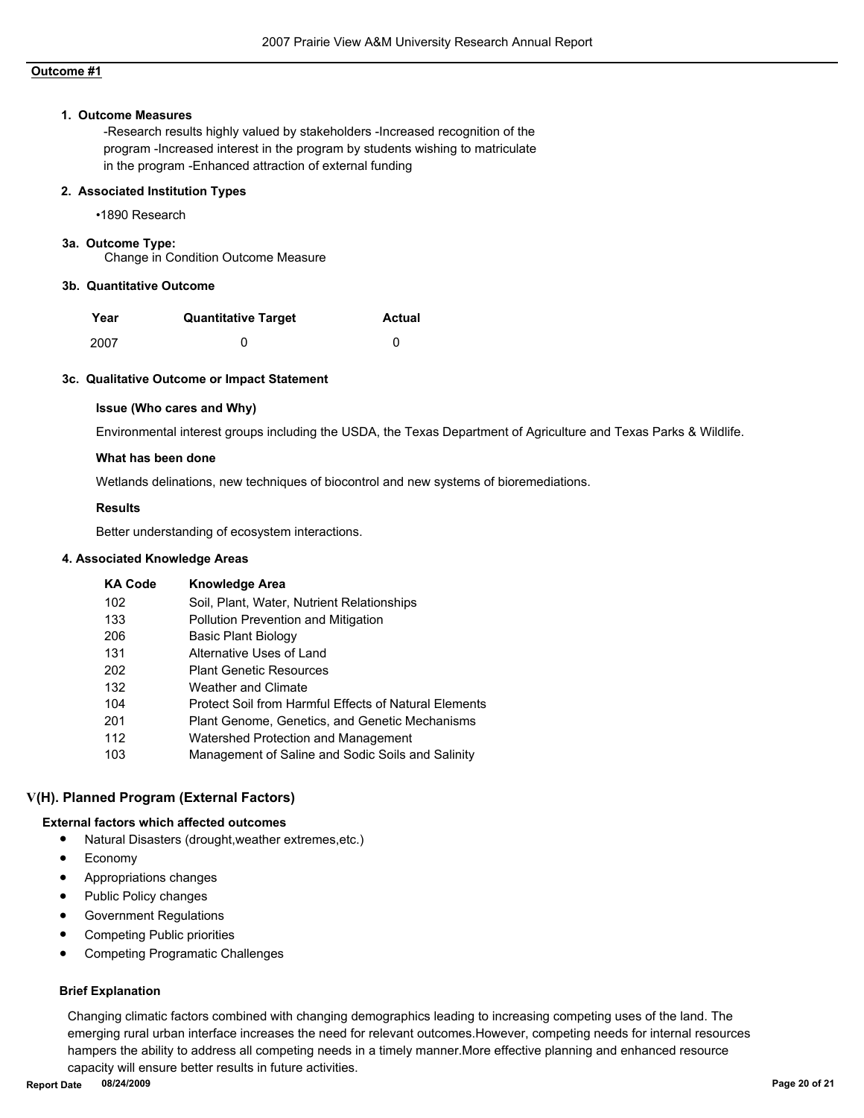## **Outcome #1**

#### **1. Outcome Measures**

-Research results highly valued by stakeholders -Increased recognition of the program -Increased interest in the program by students wishing to matriculate in the program -Enhanced attraction of external funding

#### **2. Associated Institution Types**

•1890 Research

#### **3a. Outcome Type:**

Change in Condition Outcome Measure

#### **3b. Quantitative Outcome**

| Year | <b>Quantitative Target</b> | <b>Actual</b> |
|------|----------------------------|---------------|
| 2007 |                            |               |

#### **3c. Qualitative Outcome or Impact Statement**

#### **Issue (Who cares and Why)**

Environmental interest groups including the USDA, the Texas Department of Agriculture and Texas Parks & Wildlife.

#### **What has been done**

Wetlands delinations, new techniques of biocontrol and new systems of bioremediations.

#### **Results**

Better understanding of ecosystem interactions.

#### **4. Associated Knowledge Areas**

| <b>KA Code</b> | <b>Knowledge Area</b>                                 |
|----------------|-------------------------------------------------------|
| 102            | Soil, Plant, Water, Nutrient Relationships            |
| 133            | <b>Pollution Prevention and Mitigation</b>            |
| 206            | Basic Plant Biology                                   |
| 131            | Alternative Uses of Land                              |
| 202            | <b>Plant Genetic Resources</b>                        |
| 132            | Weather and Climate                                   |
| 104            | Protect Soil from Harmful Effects of Natural Elements |
| 201            | Plant Genome, Genetics, and Genetic Mechanisms        |
| 112            | Watershed Protection and Management                   |
| 103            | Management of Saline and Sodic Soils and Salinity     |

#### **V(H). Planned Program (External Factors)**

## **External factors which affected outcomes**

- Natural Disasters (drought,weather extremes,etc.)
- Economy
- Appropriations changes
- Public Policy changes
- Government Regulations
- Competing Public priorities
- Competing Programatic Challenges

#### **Brief Explanation**

Changing climatic factors combined with changing demographics leading to increasing competing uses of the land. The emerging rural urban interface increases the need for relevant outcomes.However, competing needs for internal resources hampers the ability to address all competing needs in a timely manner.More effective planning and enhanced resource capacity will ensure better results in future activities.